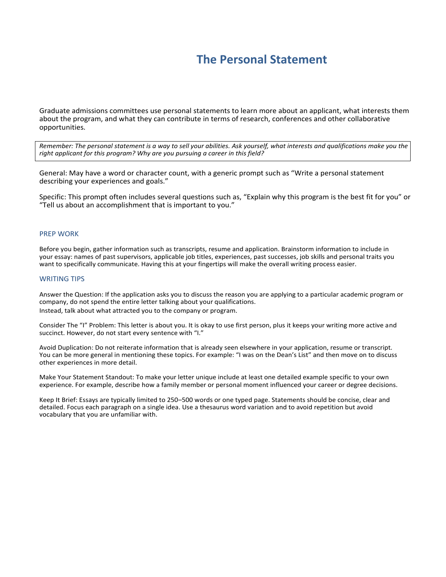# **The Personal Statement**

Graduate admissions committees use personal statements to learn more about an applicant, what interests them about the program, and what they can contribute in terms of research, conferences and other collaborative opportunities.

*Remember: The personal statement is a way to sell your abilities. Ask yourself, what interests and qualifications make you the right applicant for this program? Why are you pursuing a career in this field?*

General: May have a word or character count, with a generic prompt such as "Write a personal statement describing your experiences and goals."

Specific: This prompt often includes several questions such as, "Explain why this program is the best fit for you" or "Tell us about an accomplishment that is important to you."

## PREP WORK

Before you begin, gather information such as transcripts, resume and application. Brainstorm information to include in your essay: names of past supervisors, applicable job titles, experiences, past successes, job skills and personal traits you want to specifically communicate. Having this at your fingertips will make the overall writing process easier.

#### WRITING TIPS

Answer the Question: If the application asks you to discuss the reason you are applying to a particular academic program or company, do not spend the entire letter talking about your qualifications. Instead, talk about what attracted you to the company or program.

Consider The "I" Problem: This letter is about you. It is okay to use first person, plus it keeps your writing more active and succinct. However, do not start every sentence with "I."

Avoid Duplication: Do not reiterate information that is already seen elsewhere in your application, resume or transcript. You can be more general in mentioning these topics. For example: "I was on the Dean's List" and then move on to discuss other experiences in more detail.

Make Your Statement Standout: To make your letter unique include at least one detailed example specific to your own experience. For example, describe how a family member or personal moment influenced your career or degree decisions.

Keep It Brief: Essays are typically limited to 250–500 words or one typed page. Statements should be concise, clear and detailed. Focus each paragraph on a single idea. Use a thesaurus word variation and to avoid repetition but avoid vocabulary that you are unfamiliar with.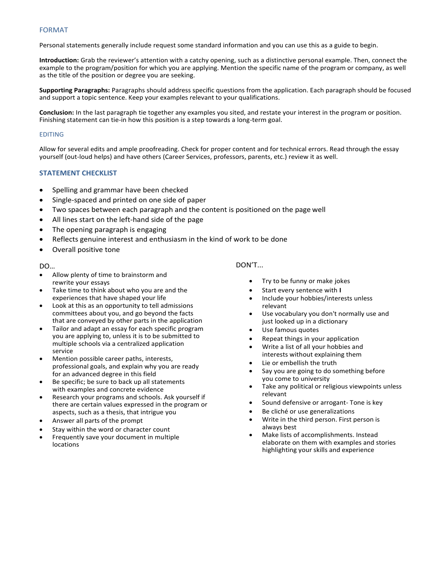# FORMAT

Personal statements generally include request some standard information and you can use this as a guide to begin.

**Introduction:** Grab the reviewer's attention with a catchy opening, such as a distinctive personal example. Then, connect the example to the program/position for which you are applying. Mention the specific name of the program or company, as well as the title of the position or degree you are seeking.

**Supporting Paragraphs:** Paragraphs should address specific questions from the application. Each paragraph should be focused and support a topic sentence. Keep your examples relevant to your qualifications.

**Conclusion:** In the last paragraph tie together any examples you sited, and restate your interest in the program or position. Finishing statement can tie-in how this position is a step towards a long-term goal.

## EDITING

Allow for several edits and ample proofreading. Check for proper content and for technical errors. Read through the essay yourself (out-loud helps) and have others (Career Services, professors, parents, etc.) review it as well.

## **STATEMENT CHECKLIST**

- Spelling and grammar have been checked
- Single-spaced and printed on one side of paper
- Two spaces between each paragraph and the content is positioned on the page well
- All lines start on the left-hand side of the page
- The opening paragraph is engaging
- Reflects genuine interest and enthusiasm in the kind of work to be done
- Overall positive tone

#### DO…

- Allow plenty of time to brainstorm and rewrite your essays
- Take time to think about who you are and the experiences that have shaped your life
- Look at this as an opportunity to tell admissions committees about you, and go beyond the facts that are conveyed by other parts in the application
- Tailor and adapt an essay for each specific program you are applying to, unless it is to be submitted to multiple schools via a centralized application service
- Mention possible career paths, interests, professional goals, and explain why you are ready for an advanced degree in this field
- Be specific; be sure to back up all statements with examples and concrete evidence
- Research your programs and schools. Ask yourself if there are certain values expressed in the program or aspects, such as a thesis, that intrigue you
- Answer all parts of the prompt
- Stay within the word or character count
- Frequently save your document in multiple locations

# DON'T...

- Try to be funny or make jokes
- Start every sentence with **I**
- Include your hobbies/interests unless relevant
- Use vocabulary you don't normally use and just looked up in a dictionary
- Use famous quotes
- Repeat things in your application
- Write a list of all your hobbies and interests without explaining them
- Lie or embellish the truth
- Say you are going to do something before you come to university
- Take any political or religious viewpoints unless relevant
- Sound defensive or arrogant- Tone is key
- Be cliché or use generalizations
- Write in the third person. First person is always best
- Make lists of accomplishments. Instead elaborate on them with examples and stories highlighting your skills and experience